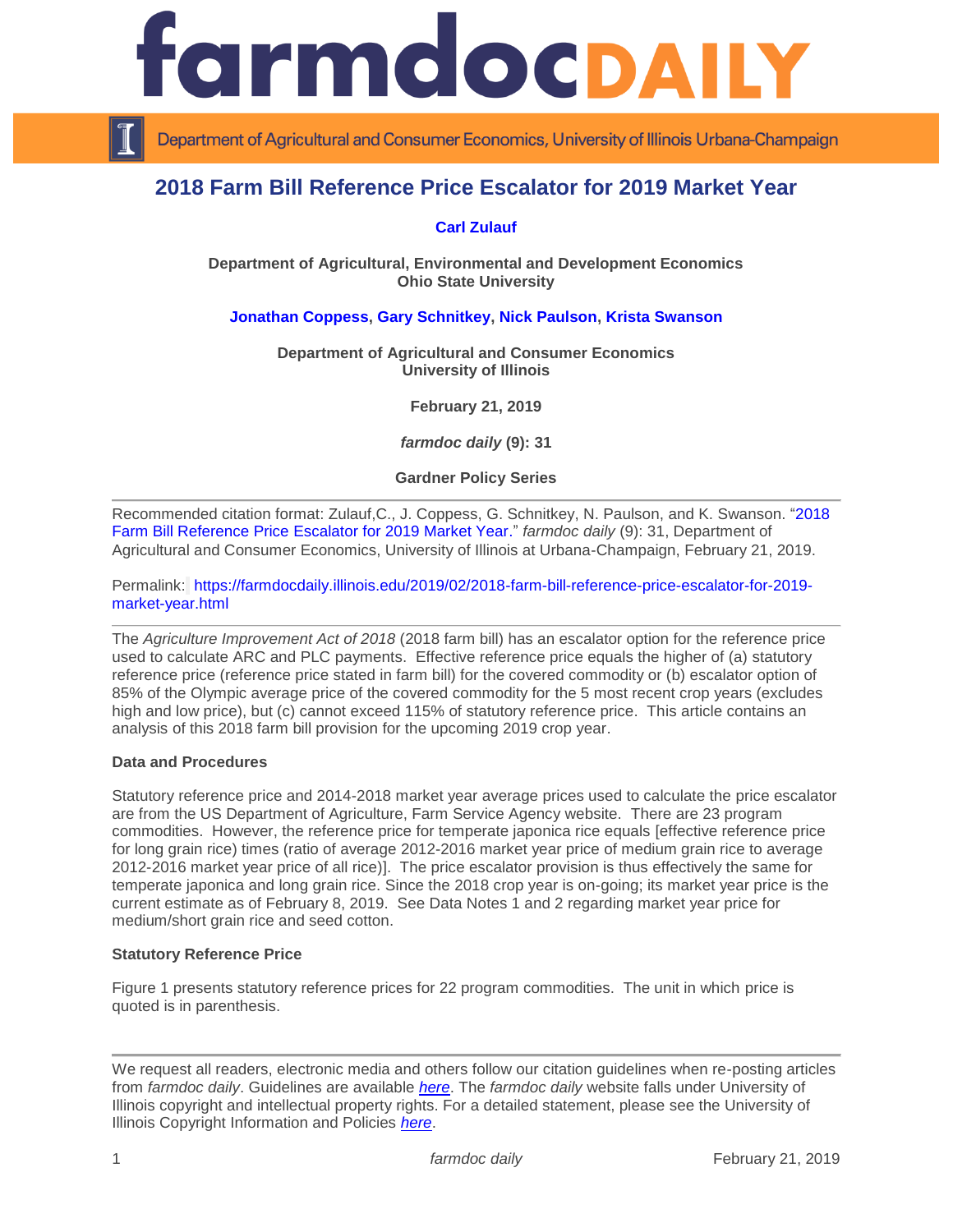

Department of Agricultural and Consumer Economics, University of Illinois Urbana-Champaign

# **2018 Farm Bill Reference Price Escalator for 2019 Market Year**

# **[Carl Zulauf](http://aede.osu.edu/our-people/carl-zulauf)**

**Department of Agricultural, Environmental and Development Economics Ohio State University**

## **[Jonathan Coppess,](http://farmdoc.illinois.edu/coppess) [Gary Schnitkey,](http://farmdoc.illinois.edu/schnitkey) [Nick Paulson,](http://farmdoc.illinois.edu/paulson) [Krista Swanson](https://ace.illinois.edu/directory/krista)**

**Department of Agricultural and Consumer Economics University of Illinois**

**February 21, 2019**

*farmdoc daily* **(9): 31**

**Gardner Policy Series**

Recommended citation format: Zulauf,C., J. Coppess, G. Schnitkey, N. Paulson, and K. Swanson. ["2018](https://farmdocdaily.illinois.edu/2019/02/2018-farm-bill-reference-price-escalator-for-2019-market-year.html)  [Farm Bill Reference Price Escalator for 2019 Market Year.](https://farmdocdaily.illinois.edu/2019/02/2018-farm-bill-reference-price-escalator-for-2019-market-year.html)" *farmdoc daily* (9): 31, Department of Agricultural and Consumer Economics, University of Illinois at Urbana-Champaign, February 21, 2019.

Permalink: [https://farmdocdaily.illinois.edu/2019/02/2018-farm-bill-reference-price-escalator-for-2019](https://farmdocdaily.illinois.edu/2019/02/2018-farm-bill-reference-price-escalator-for-2019-market-year.html) [market-year.html](https://farmdocdaily.illinois.edu/2019/02/2018-farm-bill-reference-price-escalator-for-2019-market-year.html)

The *Agriculture Improvement Act of 2018* (2018 farm bill) has an escalator option for the reference price used to calculate ARC and PLC payments. Effective reference price equals the higher of (a) statutory reference price (reference price stated in farm bill) for the covered commodity or (b) escalator option of 85% of the Olympic average price of the covered commodity for the 5 most recent crop years (excludes high and low price), but (c) cannot exceed 115% of statutory reference price. This article contains an analysis of this 2018 farm bill provision for the upcoming 2019 crop year.

### **Data and Procedures**

Statutory reference price and 2014-2018 market year average prices used to calculate the price escalator are from the US Department of Agriculture, Farm Service Agency website. There are 23 program commodities. However, the reference price for temperate japonica rice equals [effective reference price for long grain rice) times (ratio of average 2012-2016 market year price of medium grain rice to average 2012-2016 market year price of all rice)]. The price escalator provision is thus effectively the same for temperate japonica and long grain rice. Since the 2018 crop year is on-going; its market year price is the current estimate as of February 8, 2019. See Data Notes 1 and 2 regarding market year price for medium/short grain rice and seed cotton.

#### **Statutory Reference Price**

Figure 1 presents statutory reference prices for 22 program commodities. The unit in which price is quoted is in parenthesis.

We request all readers, electronic media and others follow our citation guidelines when re-posting articles from *farmdoc daily*. Guidelines are available *[here](http://farmdocdaily.illinois.edu/citationguide.html)*. The *farmdoc daily* website falls under University of Illinois copyright and intellectual property rights. For a detailed statement, please see the University of Illinois Copyright Information and Policies *[here](http://www.cio.illinois.edu/policies/copyright/)*.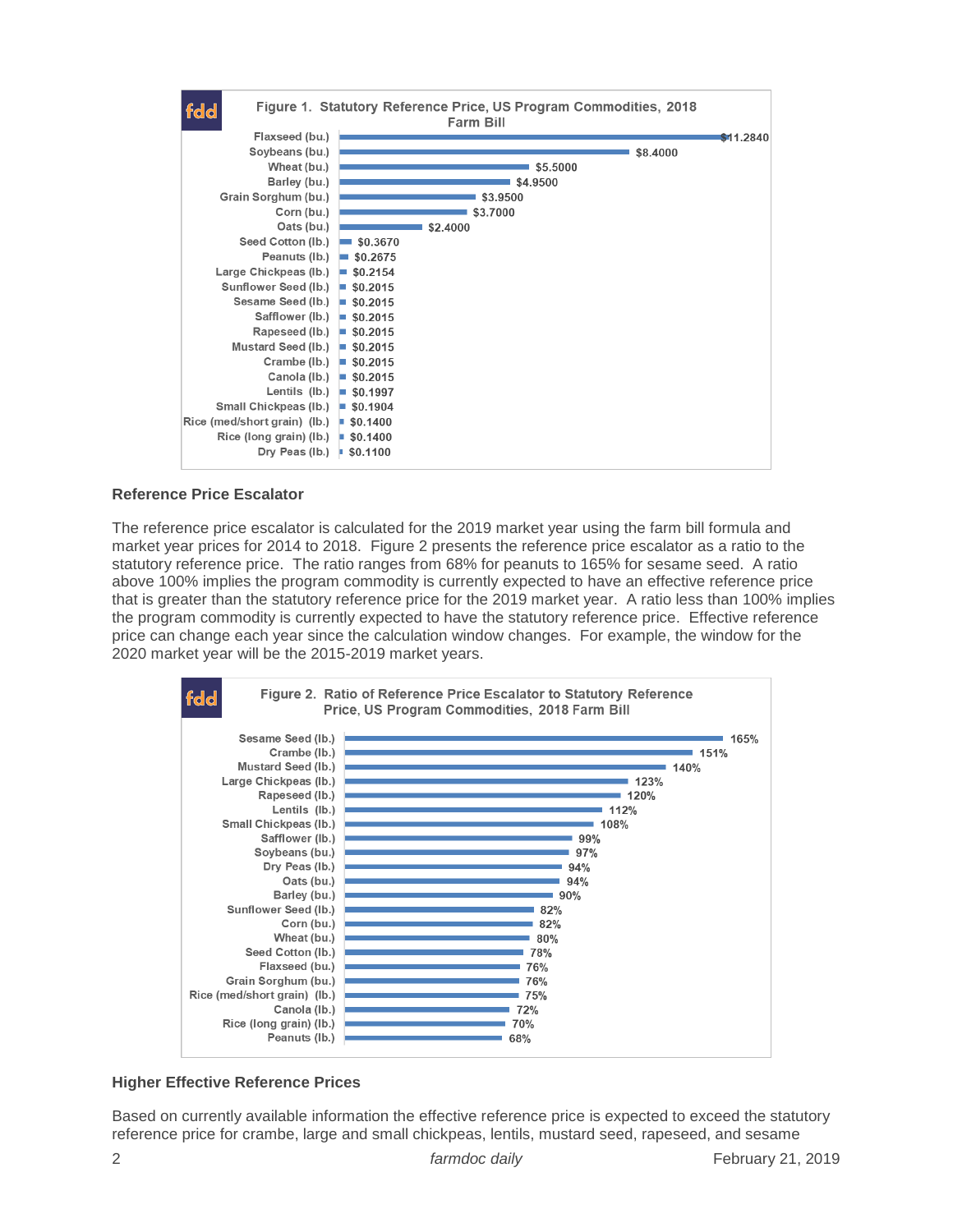

### **Reference Price Escalator**

The reference price escalator is calculated for the 2019 market year using the farm bill formula and market year prices for 2014 to 2018. Figure 2 presents the reference price escalator as a ratio to the statutory reference price. The ratio ranges from 68% for peanuts to 165% for sesame seed. A ratio above 100% implies the program commodity is currently expected to have an effective reference price that is greater than the statutory reference price for the 2019 market year. A ratio less than 100% implies the program commodity is currently expected to have the statutory reference price. Effective reference price can change each year since the calculation window changes. For example, the window for the 2020 market year will be the 2015-2019 market years.



## **Higher Effective Reference Prices**

Based on currently available information the effective reference price is expected to exceed the statutory reference price for crambe, large and small chickpeas, lentils, mustard seed, rapeseed, and sesame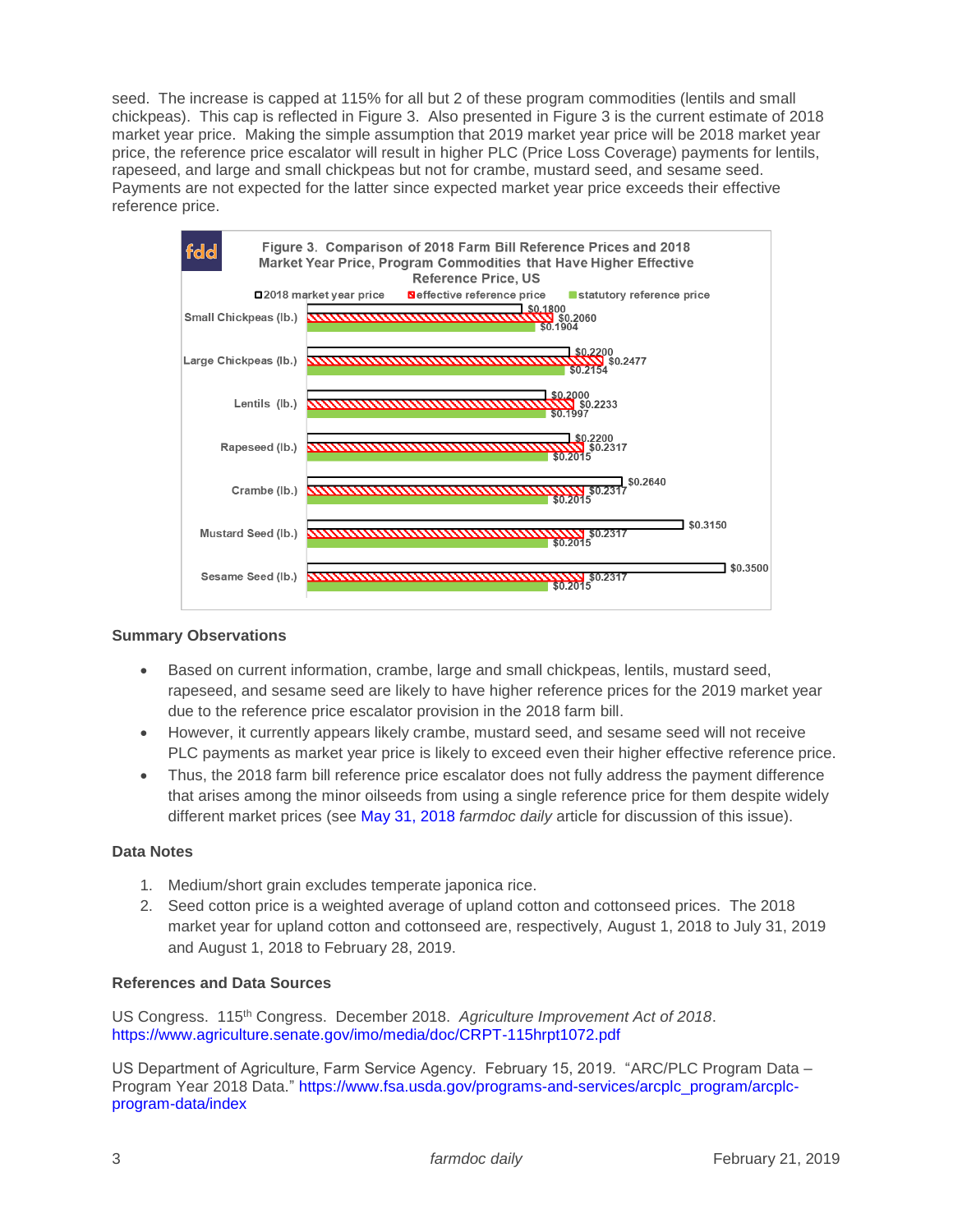seed. The increase is capped at 115% for all but 2 of these program commodities (lentils and small chickpeas). This cap is reflected in Figure 3. Also presented in Figure 3 is the current estimate of 2018 market year price. Making the simple assumption that 2019 market year price will be 2018 market year price, the reference price escalator will result in higher PLC (Price Loss Coverage) payments for lentils, rapeseed, and large and small chickpeas but not for crambe, mustard seed, and sesame seed. Payments are not expected for the latter since expected market year price exceeds their effective reference price.



## **Summary Observations**

- Based on current information, crambe, large and small chickpeas, lentils, mustard seed, rapeseed, and sesame seed are likely to have higher reference prices for the 2019 market year due to the reference price escalator provision in the 2018 farm bill.
- However, it currently appears likely crambe, mustard seed, and sesame seed will not receive PLC payments as market year price is likely to exceed even their higher effective reference price.
- Thus, the 2018 farm bill reference price escalator does not fully address the payment difference that arises among the minor oilseeds from using a single reference price for them despite widely different market prices (see [May 31, 2018](https://farmdocdaily.illinois.edu/2018/05/a-policy-of-first-among-equals-other-oilseed.html) *farmdoc daily* article for discussion of this issue).

## **Data Notes**

- 1. Medium/short grain excludes temperate japonica rice.
- 2. Seed cotton price is a weighted average of upland cotton and cottonseed prices. The 2018 market year for upland cotton and cottonseed are, respectively, August 1, 2018 to July 31, 2019 and August 1, 2018 to February 28, 2019.

#### **References and Data Sources**

US Congress. 115th Congress. December 2018. *Agriculture Improvement Act of 2018*. <https://www.agriculture.senate.gov/imo/media/doc/CRPT-115hrpt1072.pdf>

US Department of Agriculture, Farm Service Agency. February 15, 2019. "ARC/PLC Program Data – Program Year 2018 Data." [https://www.fsa.usda.gov/programs-and-services/arcplc\\_program/arcplc](https://www.fsa.usda.gov/programs-and-services/arcplc_program/arcplc-program-data/index)[program-data/index](https://www.fsa.usda.gov/programs-and-services/arcplc_program/arcplc-program-data/index)